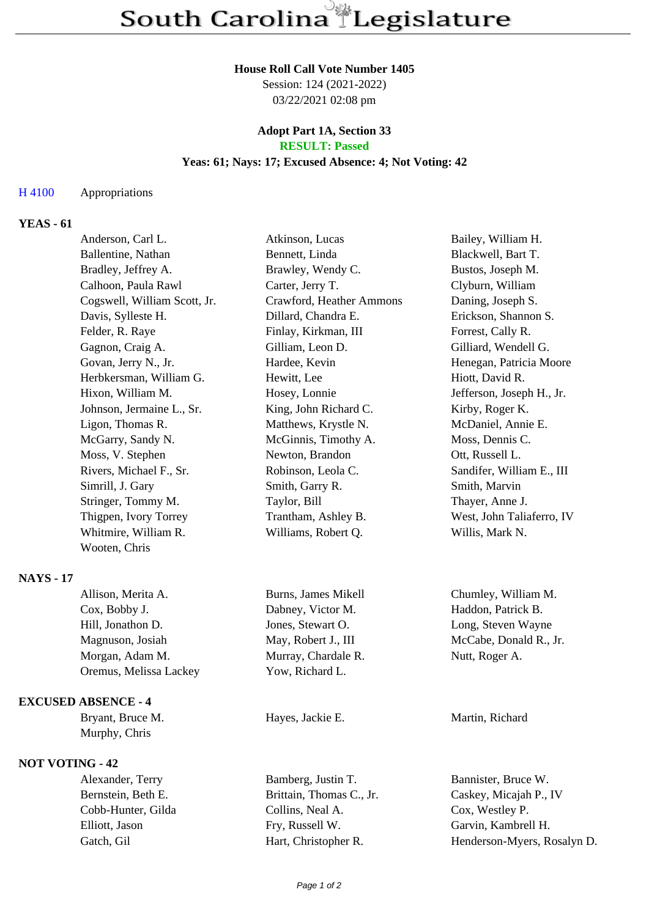### **House Roll Call Vote Number 1405**

Session: 124 (2021-2022) 03/22/2021 02:08 pm

### **Adopt Part 1A, Section 33 RESULT: Passed**

## **Yeas: 61; Nays: 17; Excused Absence: 4; Not Voting: 42**

## H 4100 Appropriations

# **YEAS - 61**

| Anderson, Carl L.            | Atkinson, Lucas          | Bailey, William H.        |
|------------------------------|--------------------------|---------------------------|
| Ballentine, Nathan           | Bennett, Linda           | Blackwell, Bart T.        |
| Bradley, Jeffrey A.          | Brawley, Wendy C.        | Bustos, Joseph M.         |
| Calhoon, Paula Rawl          | Carter, Jerry T.         | Clyburn, William          |
| Cogswell, William Scott, Jr. | Crawford, Heather Ammons | Daning, Joseph S.         |
| Davis, Sylleste H.           | Dillard, Chandra E.      | Erickson, Shannon S.      |
| Felder, R. Raye              | Finlay, Kirkman, III     | Forrest, Cally R.         |
| Gagnon, Craig A.             | Gilliam, Leon D.         | Gilliard, Wendell G.      |
| Govan, Jerry N., Jr.         | Hardee, Kevin            | Henegan, Patricia Moore   |
| Herbkersman, William G.      | Hewitt, Lee              | Hiott, David R.           |
| Hixon, William M.            | Hosey, Lonnie            | Jefferson, Joseph H., Jr. |
| Johnson, Jermaine L., Sr.    | King, John Richard C.    | Kirby, Roger K.           |
| Ligon, Thomas R.             | Matthews, Krystle N.     | McDaniel, Annie E.        |
| McGarry, Sandy N.            | McGinnis, Timothy A.     | Moss, Dennis C.           |
| Moss, V. Stephen             | Newton, Brandon          | Ott, Russell L.           |
| Rivers, Michael F., Sr.      | Robinson, Leola C.       | Sandifer, William E., III |
| Simrill, J. Gary             | Smith, Garry R.          | Smith, Marvin             |
| Stringer, Tommy M.           | Taylor, Bill             | Thayer, Anne J.           |
| Thigpen, Ivory Torrey        | Trantham, Ashley B.      | West, John Taliaferro, IV |
| Whitmire, William R.         | Williams, Robert Q.      | Willis, Mark N.           |
| Wooten, Chris                |                          |                           |
|                              |                          |                           |

# **NAYS - 17**

| Allison, Merita A.     | Burns, James Mikell |
|------------------------|---------------------|
| Cox, Bobby J.          | Dabney, Victor M.   |
| Hill, Jonathon D.      | Jones, Stewart O.   |
| Magnuson, Josiah       | May, Robert J., III |
| Morgan, Adam M.        | Murray, Chardale R. |
| Oremus, Melissa Lackey | Yow, Richard L.     |

### **EXCUSED ABSENCE - 4**

Murphy, Chris

# **NOT VOTING - 42**

Alexander, Terry Bamberg, Justin T. Bannister, Bruce W. Cobb-Hunter, Gilda Collins, Neal A. Cox, Westley P. Elliott, Jason Fry, Russell W. Garvin, Kambrell H.

Chumley, William M. Haddon, Patrick B. Long, Steven Wayne McCabe, Donald R., Jr. Nutt, Roger A.

Bryant, Bruce M. **Hayes**, Jackie E. **Martin**, Richard

Bernstein, Beth E. Brittain, Thomas C., Jr. Caskey, Micajah P., IV Gatch, Gil Hart, Christopher R. Henderson-Myers, Rosalyn D.